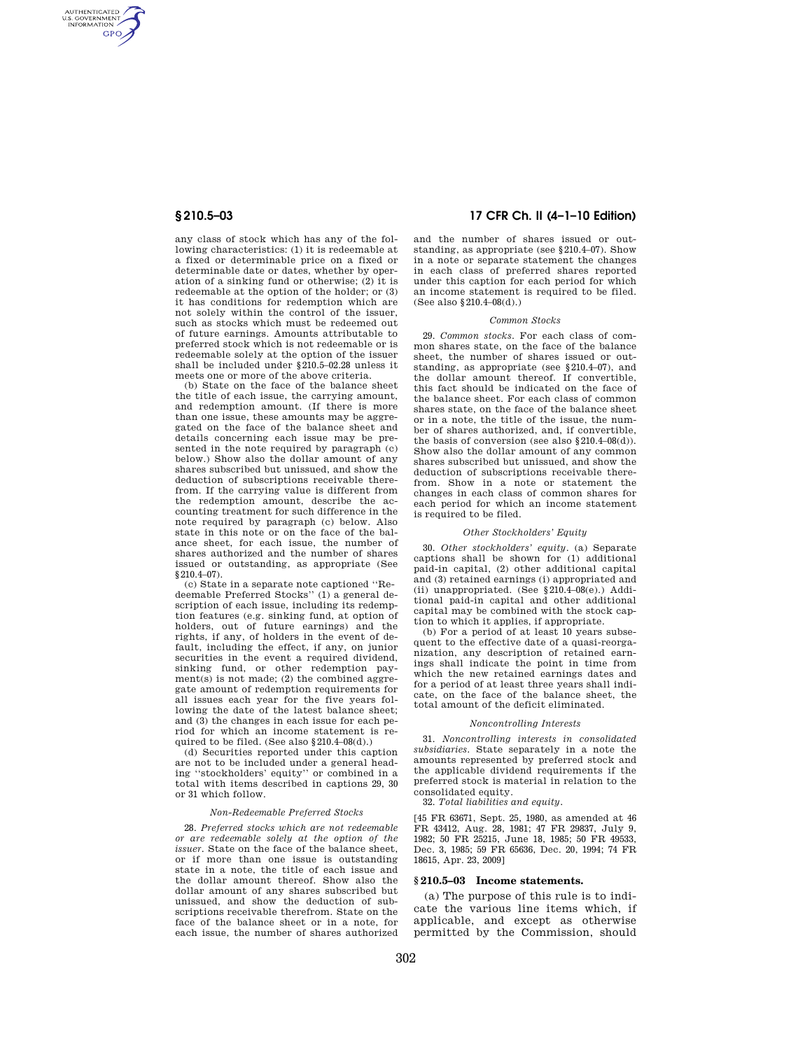AUTHENTICATED<br>U.S. GOVERNMENT<br>INFORMATION **GPO** 

> any class of stock which has any of the following characteristics: (1) it is redeemable at a fixed or determinable price on a fixed or determinable date or dates, whether by operation of a sinking fund or otherwise; (2) it is redeemable at the option of the holder; or (3) it has conditions for redemption which are not solely within the control of the issuer, such as stocks which must be redeemed out of future earnings. Amounts attributable to preferred stock which is not redeemable or is redeemable solely at the option of the issuer shall be included under §210.5–02.28 unless it meets one or more of the above criteria.

> (b) State on the face of the balance sheet the title of each issue, the carrying amount, and redemption amount. (If there is more than one issue, these amounts may be aggregated on the face of the balance sheet and details concerning each issue may be presented in the note required by paragraph  $(c)$ below.) Show also the dollar amount of any shares subscribed but unissued, and show the deduction of subscriptions receivable therefrom. If the carrying value is different from the redemption amount, describe the accounting treatment for such difference in the note required by paragraph (c) below. Also state in this note or on the face of the balance sheet, for each issue, the number of shares authorized and the number of shares issued or outstanding, as appropriate (See  $§210.4-07$ ).

> (c) State in a separate note captioned ''Redeemable Preferred Stocks'' (1) a general description of each issue, including its redemption features (e.g. sinking fund, at option of holders, out of future earnings) and the rights, if any, of holders in the event of default, including the effect, if any, on junior securities in the event a required dividend, sinking fund, or other redemption payment(s) is not made; (2) the combined aggregate amount of redemption requirements for all issues each year for the five years following the date of the latest balance sheet; and (3) the changes in each issue for each period for which an income statement is required to be filed. (See also §210.4–08(d).)

> (d) Securities reported under this caption are not to be included under a general heading ''stockholders' equity'' or combined in a total with items described in captions 29, 30 or 31 which follow.

#### *Non-Redeemable Preferred Stocks*

28. *Preferred stocks which are not redeemable or are redeemable solely at the option of the issuer.* State on the face of the balance sheet, or if more than one issue is outstanding state in a note, the title of each issue and the dollar amount thereof. Show also the dollar amount of any shares subscribed but unissued, and show the deduction of subscriptions receivable therefrom. State on the face of the balance sheet or in a note, for each issue, the number of shares authorized

# **§ 210.5–03 17 CFR Ch. II (4–1–10 Edition)**

and the number of shares issued or outstanding, as appropriate (see §210.4–07). Show in a note or separate statement the changes in each class of preferred shares reported under this caption for each period for which an income statement is required to be filed. (See also §210.4–08(d).)

#### *Common Stocks*

29. *Common stocks.* For each class of common shares state, on the face of the balance sheet, the number of shares issued or outstanding, as appropriate (see §210.4–07), and the dollar amount thereof. If convertible, this fact should be indicated on the face of the balance sheet. For each class of common shares state, on the face of the balance sheet or in a note, the title of the issue, the number of shares authorized, and, if convertible, the basis of conversion (see also §210.4–08(d)). Show also the dollar amount of any common shares subscribed but unissued, and show the deduction of subscriptions receivable therefrom. Show in a note or statement the changes in each class of common shares for each period for which an income statement is required to be filed.

# *Other Stockholders' Equity*

30. *Other stockholders' equity.* (a) Separate captions shall be shown for (1) additional paid-in capital, (2) other additional capital and (3) retained earnings (i) appropriated and (ii) unappropriated. (See §210.4–08(e).) Additional paid-in capital and other additional capital may be combined with the stock caption to which it applies, if appropriate.

(b) For a period of at least 10 years subsequent to the effective date of a quasi-reorganization, any description of retained earnings shall indicate the point in time from which the new retained earnings dates and for a period of at least three years shall indicate, on the face of the balance sheet, the total amount of the deficit eliminated.

### *Noncontrolling Interests*

31. *Noncontrolling interests in consolidated subsidiaries.* State separately in a note the amounts represented by preferred stock and the applicable dividend requirements if the preferred stock is material in relation to the consolidated equity.

32. *Total liabilities and equity.* 

[45 FR 63671, Sept. 25, 1980, as amended at 46 FR 43412, Aug. 28, 1981; 47 FR 29837, July 9, 1982; 50 FR 25215, June 18, 1985; 50 FR 49533, Dec. 3, 1985; 59 FR 65636, Dec. 20, 1994; 74 FR 18615, Apr. 23, 2009]

## **§ 210.5–03 Income statements.**

(a) The purpose of this rule is to indicate the various line items which, if applicable, and except as otherwise permitted by the Commission, should